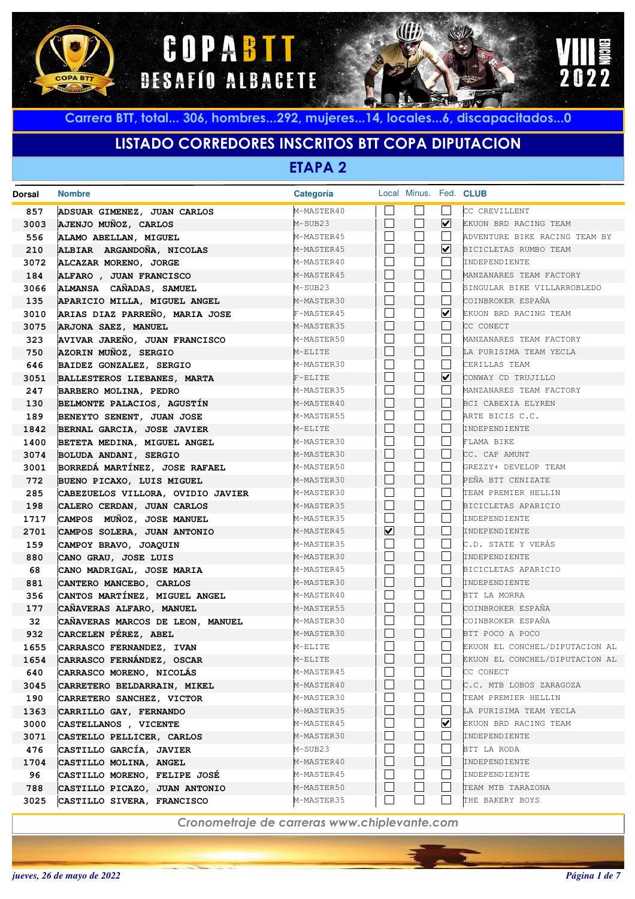





# **LISTADO CORREDORES INSCRITOS BTT COPA DIPUTACION**

**ETAPA 2**

| <b>Dorsal</b> | <b>Nombre</b>                                        | Categoría                |                |                             | Local Minus. Fed. CLUB |                                                |
|---------------|------------------------------------------------------|--------------------------|----------------|-----------------------------|------------------------|------------------------------------------------|
| 857           | ADSUAR GIMENEZ, JUAN CARLOS                          | M-MASTER40               |                |                             |                        | CC CREVILLENT                                  |
| 3003          | AJENJO MUÑOZ, CARLOS                                 | M-SUB23                  | $\Box$         | L                           | ☑                      | EKUON BRD RACING TEAM                          |
| 556           | ALAMO ABELLAN, MIGUEL                                | M-MASTER45               |                |                             |                        | ADVENTURE BIKE RACING TEAM BY                  |
| 210           | ALBIAR ARGANDOÑA, NICOLAS                            | M-MASTER45               |                | $\Box$                      | $\blacktriangledown$   | BICICLETAS RUMBO TEAM                          |
| 3072          | ALCAZAR MORENO, JORGE                                | M-MASTER40               |                |                             |                        | INDEPENDIENTE                                  |
| 184           | ALFARO , JUAN FRANCISCO                              | M-MASTER45               |                | $\Box$                      |                        | MANZANARES TEAM FACTORY                        |
| 3066          | ALMANSA CAÑADAS, SAMUEL                              | M-SUB23                  |                | L                           |                        | SINGULAR BIKE VILLARROBLEDO                    |
| 135           | APARICIO MILLA, MIGUEL ANGEL                         | M-MASTER30               | П              | $\Box$                      |                        | COINBROKER ESPAÑA                              |
| 3010          | ARIAS DIAZ PARREÑO, MARIA JOSE                       | F-MASTER45               |                |                             | $\blacktriangledown$   | EKUON BRD RACING TEAM                          |
| 3075          | ARJONA SAEZ, MANUEL                                  | M-MASTER35               | $\perp$        | $\Box$                      |                        | CC CONECT                                      |
| 323           | AVIVAR JAREÑO, JUAN FRANCISCO                        | M-MASTER50               |                |                             |                        | MANZANARES TEAM FACTORY                        |
| 750           | AZORIN MUÑOZ, SERGIO                                 | M-ELITE                  |                | $\Box$                      |                        | LA PURISIMA TEAM YECLA                         |
| 646           | BAIDEZ GONZALEZ, SERGIO                              | M-MASTER30               |                | $\mathcal{L}_{\mathcal{A}}$ |                        | CERILLAS TEAM                                  |
| 3051          | BALLESTEROS LIEBANES, MARTA                          | $F-ELITE$                | $\perp$        | $\Box$                      | ☑                      | CONWAY CD TRUJILLO                             |
| 247           | BARBERO MOLINA, PEDRO                                | M-MASTER35               |                |                             |                        | MANZANARES TEAM FACTORY                        |
| 130           | BELMONTE PALACIOS, AGUSTÍN                           | M-MASTER40               | $\perp$        | $\Box$                      |                        | BCI CABEXIA ELYREN                             |
| 189           | BENEYTO SENENT, JUAN JOSE                            | M-MASTER55               |                |                             |                        | ARTE BICIS C.C.                                |
| 1842          | BERNAL GARCIA, JOSE JAVIER                           | M-ELITE                  | $\perp$        | $\Box$                      |                        | INDEPENDIENTE                                  |
| 1400          | BETETA MEDINA, MIGUEL ANGEL                          | M-MASTER30               |                | L.                          |                        | FLAMA BIKE                                     |
| 3074          | BOLUDA ANDANI, SERGIO                                | M-MASTER30               | $\perp$        | $\Box$                      |                        | CC. CAP AMUNT                                  |
| 3001          | BORREDÁ MARTÍNEZ, JOSE RAFAEL                        | M-MASTER50               |                |                             |                        | GREZZY+ DEVELOP TEAM                           |
| 772           | BUENO PICAXO, LUIS MIGUEL                            | M-MASTER30               | $\mathbf{L}$   | $\Box$                      |                        | PEÑA BTT CENIZATE                              |
| 285           | CABEZUELOS VILLORA, OVIDIO JAVIER                    | M-MASTER30               |                |                             |                        | TEAM PREMIER HELLIN                            |
| 198           | CALERO CERDAN, JUAN CARLOS                           | M-MASTER35               | $\mathbf{L}$   | $\Box$                      |                        | BICICLETAS APARICIO                            |
| 1717          | CAMPOS MUÑOZ, JOSE MANUEL                            | M-MASTER35               |                |                             |                        | INDEPENDIENTE                                  |
| 2701          | CAMPOS SOLERA, JUAN ANTONIO                          | M-MASTER45               | ☑              | $\Box$                      |                        | INDEPENDIENTE                                  |
| 159           | CAMPOY BRAVO, JOAQUIN                                | M-MASTER35               |                |                             |                        | C.D. STATE Y VERAS                             |
| 880           | CANO GRAU, JOSE LUIS                                 | M-MASTER30               | $\mathbf{L}$   | $\Box$                      |                        | INDEPENDIENTE                                  |
| 68            | CANO MADRIGAL, JOSE MARIA                            | M-MASTER45               |                |                             |                        | BICICLETAS APARICIO                            |
| 881           | CANTERO MANCEBO, CARLOS                              | M-MASTER30               | $\mathbf{L}$   | $\Box$                      |                        | INDEPENDIENTE                                  |
| 356           | CANTOS MARTÍNEZ, MIGUEL ANGEL                        | M-MASTER40               |                |                             |                        | BTT LA MORRA                                   |
| 177           | CAÑAVERAS ALFARO, MANUEL                             | M-MASTER55               | $\mathbf{L}$   | $\Box$                      |                        | COINBROKER ESPAÑA                              |
| 32            | CAÑAVERAS MARCOS DE LEON, MANUEL                     | M-MASTER30               | $\Box$         | $\Box$                      |                        | COINBROKER ESPAÑA                              |
| 932           | CARCELEN PÉREZ, ABEL                                 | M-MASTER30               |                |                             |                        | BTT POCO A POCO                                |
| 1655          | CARRASCO FERNANDEZ, IVAN                             | M-ELITE<br>M-ELITE       |                | Г                           |                        | EKUON EL CONCHEL/DIPUTACION AL                 |
| 1654          | CARRASCO FERNÁNDEZ, OSCAR                            |                          |                |                             |                        | EKUON EL CONCHEL/DIPUTACION AL                 |
| 640           | CARRASCO MORENO, NICOLAS                             | M-MASTER45               |                |                             |                        | CC CONECT                                      |
| 3045          | CARRETERO BELDARRAIN, MIKEL                          | M-MASTER40<br>M-MASTER30 |                |                             |                        | C.C. MTB LOBOS ZARAGOZA<br>TEAM PREMIER HELLIN |
| 190           | CARRETERO SANCHEZ, VICTOR                            | M-MASTER35               |                | $\mathbf{I}$                |                        | LA PURISIMA TEAM YECLA                         |
| 1363<br>3000  | CARRILLO GAY, FERNANDO<br>CASTELLANOS , VICENTE      | M-MASTER45               |                |                             | ⊻                      | EKUON BRD RACING TEAM                          |
|               |                                                      | M-MASTER30               |                | $\overline{\phantom{a}}$    |                        | INDEPENDIENTE                                  |
| 3071<br>476   | CASTELLO PELLICER, CARLOS<br>CASTILLO GARCÍA, JAVIER | M-SUB23                  |                |                             |                        | BTT LA RODA                                    |
| 1704          | CASTILLO MOLINA, ANGEL                               | M-MASTER40               |                | $\vert \ \ \vert$           |                        | INDEPENDIENTE                                  |
| 96            | CASTILLO MORENO, FELIPE JOSÉ                         | M-MASTER45               |                |                             |                        | INDEPENDIENTE                                  |
| 788           | CASTILLO PICAZO, JUAN ANTONIO                        | M-MASTER50               |                | $\vert \ \ \vert$           |                        | TEAM MTB TARAZONA                              |
| 3025          | CASTILLO SIVERA, FRANCISCO                           | M-MASTER35               | $\blacksquare$ | $\vert \ \ \vert$           |                        | THE BAKERY BOYS                                |
|               |                                                      |                          |                |                             |                        |                                                |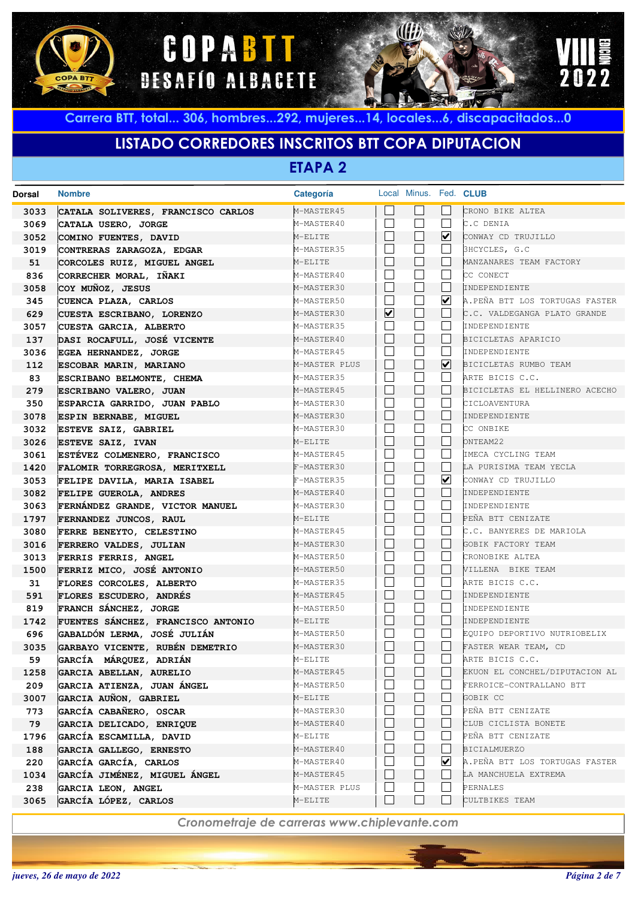





## **LISTADO CORREDORES INSCRITOS BTT COPA DIPUTACION**

**ETAPA 2**

| Dorsal | <b>Nombre</b>                      | Categoría     |   | Local Minus. Fed. CLUB |                         |                                |
|--------|------------------------------------|---------------|---|------------------------|-------------------------|--------------------------------|
| 3033   | CATALA SOLIVERES, FRANCISCO CARLOS | M-MASTER45    |   |                        |                         | CRONO BIKE ALTEA               |
| 3069   | CATALA USERO, JORGE                | M-MASTER40    |   | $\mathbf{L}$           | L                       | C.C DENIA                      |
| 3052   | COMINO FUENTES, DAVID              | M-ELITE       |   | $\Box$                 | ☑                       | CONWAY CD TRUJILLO             |
| 3019   | CONTRERAS ZARAGOZA, EDGAR          | M-MASTER35    |   |                        |                         | 3HCYCLES, G.C                  |
| 51     | CORCOLES RUIZ, MIGUEL ANGEL        | M-ELITE       |   | Н                      |                         | MANZANARES TEAM FACTORY        |
| 836    | CORRECHER MORAL, IÑAKI             | M-MASTER40    |   | $\mathbf{L}$           | L.                      | CC CONECT                      |
| 3058   | COY MUÑOZ, JESUS                   | M-MASTER30    |   | $\Box$                 | $\mathbf{I}$            | INDEPENDIENTE                  |
| 345    | CUENCA PLAZA, CARLOS               | M-MASTER50    |   | $\mathbf{L}$           | $\overline{\mathbf{v}}$ | A.PEÑA BTT LOS TORTUGAS FASTER |
| 629    | CUESTA ESCRIBANO, LORENZO          | M-MASTER30    | ☑ | $\Box$                 | $\mathbf{I}$            | C.C. VALDEGANGA PLATO GRANDE   |
| 3057   | CUESTA GARCIA, ALBERTO             | M-MASTER35    |   | $\mathbf{L}$           |                         | INDEPENDIENTE                  |
| 137    | DASI ROCAFULL, JOSÉ VICENTE        | M-MASTER40    |   | $\Box$                 |                         | BICICLETAS APARICIO            |
| 3036   | EGEA HERNANDEZ, JORGE              | M-MASTER45    |   | $\mathbf{L}$           | L                       | INDEPENDIENTE                  |
| 112    | ESCOBAR MARIN, MARIANO             | M-MASTER PLUS |   | $\Box$                 | ☑                       | BICICLETAS RUMBO TEAM          |
| 83     | ESCRIBANO BELMONTE, CHEMA          | M-MASTER35    |   | $\mathbf{L}$           |                         | ARTE BICIS C.C.                |
| 279    | ESCRIBANO VALERO, JUAN             | M-MASTER45    |   | $\Box$                 |                         | BICICLETAS EL HELLINERO ACECHO |
| 350    | ESPARCIA GARRIDO, JUAN PABLO       | M-MASTER30    |   | $\mathbf{L}$           |                         | CICLOAVENTURA                  |
| 3078   | ESPIN BERNABE, MIGUEL              | M-MASTER30    |   | $\Box$                 |                         | INDEPENDIENTE                  |
| 3032   | ESTEVE SAIZ, GABRIEL               | M-MASTER30    |   | $\mathbf{L}$           |                         | CC ONBIKE                      |
| 3026   | ESTEVE SAIZ, IVAN                  | M-ELITE       |   | $\Box$                 | L                       | ONTEAM22                       |
| 3061   | ESTÉVEZ COLMENERO, FRANCISCO       | M-MASTER45    |   | $\mathbf{L}$           | L.                      | IMECA CYCLING TEAM             |
| 1420   | FALOMIR TORREGROSA, MERITXELL      | F-MASTER30    |   | Н                      | L                       | LA PURISIMA TEAM YECLA         |
| 3053   | FELIPE DAVILA, MARIA ISABEL        | F-MASTER35    |   |                        | ☑                       | CONWAY CD TRUJILLO             |
| 3082   | FELIPE GUEROLA, ANDRES             | M-MASTER40    |   | $\Box$                 |                         | INDEPENDIENTE                  |
| 3063   | FERNÁNDEZ GRANDE, VICTOR MANUEL    | M-MASTER30    |   |                        |                         | INDEPENDIENTE                  |
| 1797   | FERNANDEZ JUNCOS, RAUL             | M-ELITE       |   | Н                      | L                       | PENA BTT CENIZATE              |
| 3080   | FERRE BENEYTO, CELESTINO           | M-MASTER45    |   | L                      |                         | C.C. BANYERES DE MARIOLA       |
| 3016   | FERRERO VALDES, JULIAN             | M-MASTER30    |   | Н                      |                         | GOBIK FACTORY TEAM             |
| 3013   | FERRIS FERRIS, ANGEL               | M-MASTER50    |   | L                      |                         | CRONOBIKE ALTEA                |
| 1500   | FERRIZ MICO, JOSÉ ANTONIO          | M-MASTER50    |   | Н                      |                         | VILLENA BIKE TEAM              |
| 31     | FLORES CORCOLES, ALBERTO           | M-MASTER35    |   |                        |                         | ARTE BICIS C.C.                |
| 591    | FLORES ESCUDERO, ANDRÉS            | M-MASTER45    |   | Н                      |                         | INDEPENDIENTE                  |
| 819    | FRANCH SÁNCHEZ, JORGE              | M-MASTER50    |   |                        |                         | INDEPENDIENTE                  |
| 1742   | FUENTES SÁNCHEZ, FRANCISCO ANTONIO | M-ELITE       |   | $\mathsf{L}$           |                         | INDEPENDIENTE                  |
| 696    | GABALDÓN LERMA, JOSÉ JULIÁN        | M-MASTER50    |   |                        |                         | EQUIPO DEPORTIVO NUTRIOBELIX   |
| 3035   | GARBAYO VICENTE, RUBÉN DEMETRIO    | M-MASTER30    |   |                        |                         | FASTER WEAR TEAM, CD           |
| 59     | GARCÍA MÁRQUEZ, ADRIÁN             | M-ELITE       |   | L                      |                         | ARTE BICIS C.C.                |
| 1258   | GARCIA ABELLAN, AURELIO            | M-MASTER45    |   |                        |                         | EKUON EL CONCHEL/DIPUTACION AL |
| 209    | GARCIA ATIENZA, JUAN ÁNGEL         | M-MASTER50    |   |                        |                         | FERROICE-CONTRALLANO BTT       |
| 3007   | GARCIA AUÑON, GABRIEL              | M-ELITE       |   | $\mathsf{L}$           |                         | GOBIK CC                       |
| 773    | GARCÍA CABAÑERO, OSCAR             | M-MASTER30    |   |                        |                         | PEÑA BTT CENIZATE              |
| 79     | GARCIA DELICADO, ENRIQUE           | M-MASTER40    |   | ⊔                      |                         | CLUB CICLISTA BONETE           |
| 1796   | GARCÍA ESCAMILLA, DAVID            | M-ELITE       |   |                        |                         | PEÑA BTT CENIZATE              |
| 188    | GARCIA GALLEGO, ERNESTO            | M-MASTER40    |   | $\Box$                 |                         | <b>BICIALMUERZO</b>            |
| 220    | GARCÍA GARCÍA, CARLOS              | M-MASTER40    |   |                        | ⊻                       | A.PEÑA BTT LOS TORTUGAS FASTER |
| 1034   | GARCÍA JIMÉNEZ, MIGUEL ÁNGEL       | M-MASTER45    |   | Н                      |                         | LA MANCHUELA EXTREMA           |
| 238    | GARCIA LEON, ANGEL                 | M-MASTER PLUS |   |                        |                         | PERNALES                       |
| 3065   | GARCÍA LÓPEZ, CARLOS               | M-ELITE       |   | $\Box$                 |                         | CULTBIKES TEAM                 |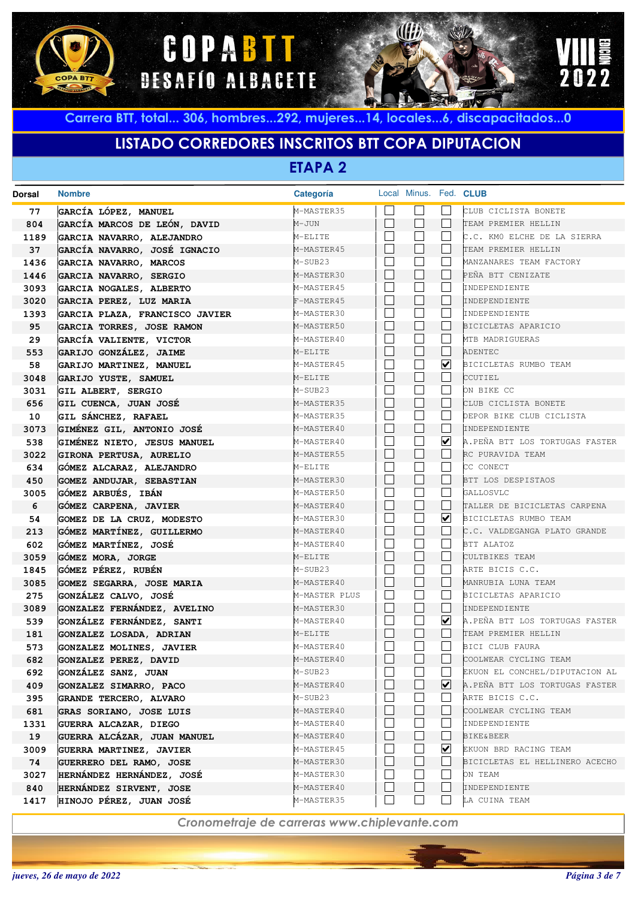





# **LISTADO CORREDORES INSCRITOS BTT COPA DIPUTACION**

**ETAPA 2**

| <b>Dorsal</b> | <b>Nombre</b>                                       | Categoría                   | Local Minus. Fed. CLUB |                         |                                      |
|---------------|-----------------------------------------------------|-----------------------------|------------------------|-------------------------|--------------------------------------|
| 77            | GARCÍA LÓPEZ, MANUEL                                | M-MASTER35                  |                        |                         | CLUB CICLISTA BONETE                 |
| 804           | GARCÍA MARCOS DE LEÓN, DAVID                        | M-JUN                       | $\Box$                 | L                       | TEAM PREMIER HELLIN                  |
| 1189          | GARCIA NAVARRO, ALEJANDRO                           | M-ELITE                     | $\Box$                 |                         | C.C. KMO ELCHE DE LA SIERRA          |
| 37            | GARCÍA NAVARRO, JOSÉ IGNACIO                        | M-MASTER45                  | П                      | L                       | TEAM PREMIER HELLIN                  |
| 1436          | GARCIA NAVARRO, MARCOS                              | M-SUB23                     |                        |                         | MANZANARES TEAM FACTORY              |
| 1446          | GARCIA NAVARRO, SERGIO                              | M-MASTER30                  | $\Box$                 | L                       | PEÑA BTT CENIZATE                    |
| 3093          | GARCIA NOGALES, ALBERTO                             | M-MASTER45                  |                        |                         | INDEPENDIENTE                        |
| 3020          | GARCIA PEREZ, LUZ MARIA                             | F-MASTER45                  | П                      | L                       | INDEPENDIENTE                        |
| 1393          | GARCIA PLAZA, FRANCISCO JAVIER                      | M-MASTER30                  |                        |                         | INDEPENDIENTE                        |
| 95            | GARCIA TORRES, JOSE RAMON                           | M-MASTER50                  | П                      | L                       | BICICLETAS APARICIO                  |
| 29            | GARCÍA VALIENTE, VICTOR                             | M-MASTER40                  | L                      |                         | MTB MADRIGUERAS                      |
| 553           | GARIJO GONZÁLEZ, JAIME                              | M-ELITE                     | $\Box$                 | L                       | ADENTEC                              |
| 58            | GARIJO MARTINEZ, MANUEL                             | M-MASTER45                  |                        | $\overline{\mathbf{v}}$ | BICICLETAS RUMBO TEAM                |
| 3048          | GARIJO YUSTE, SAMUEL                                | M-ELITE                     | $\Box$                 | L                       | CCUTIEL                              |
| 3031          | GIL ALBERT, SERGIO                                  | M-SUB23                     | L                      |                         | ON BIKE CC                           |
| 656           | GIL CUENCA, JUAN JOSÉ                               | M-MASTER35                  | П                      | L                       | CLUB CICLISTA BONETE                 |
| 10            | GIL SÁNCHEZ, RAFAEL                                 | M-MASTER35                  | M                      | L.                      | DEPOR BIKE CLUB CICLISTA             |
| 3073          | GIMÉNEZ GIL, ANTONIO JOSÉ                           | M-MASTER40                  | П                      | L                       | INDEPENDIENTE                        |
| 538           | GIMÉNEZ NIETO, JESUS MANUEL                         | M-MASTER40                  |                        | $\overline{\mathbf{v}}$ | A.PEÑA BTT LOS TORTUGAS FASTER       |
| 3022          | GIRONA PERTUSA, AURELIO                             | M-MASTER55                  | П                      | L                       | RC PURAVIDA TEAM                     |
| 634           | GÓMEZ ALCARAZ, ALEJANDRO                            | M-ELITE                     | M                      |                         | CC CONECT                            |
| 450           | <b>GOMEZ ANDUJAR, SEBASTIAN</b>                     | M-MASTER30                  | П                      | L                       | BTT LOS DESPISTAOS                   |
| 3005          | GÓMEZ ARBUÉS, IBÁN                                  | M-MASTER50                  | $\Box$                 | $\sim$                  | GALLOSVLC                            |
| 6             | GÓMEZ CARPENA, JAVIER                               | M-MASTER40                  | П                      | L                       | TALLER DE BICICLETAS CARPENA         |
| 54            | GOMEZ DE LA CRUZ, MODESTO                           | M-MASTER30                  |                        | $\overline{\mathbf{v}}$ | BICICLETAS RUMBO TEAM                |
| 213           | GÓMEZ MARTÍNEZ, GUILLERMO                           | M-MASTER40                  | П                      | L                       | C.C. VALDEGANGA PLATO GRANDE         |
| 602           | GÓMEZ MARTÍNEZ, JOSÉ                                | M-MASTER40                  |                        |                         | BTT ALATOZ                           |
| 3059          | GÓMEZ MORA, JORGE                                   | M-ELITE                     | П                      | L                       | CULTBIKES TEAM                       |
| 1845          | GÓMEZ PÉREZ, RUBÉN                                  | M-SUB23                     | M<br>П                 |                         | ARTE BICIS C.C.                      |
| 3085          | GOMEZ SEGARRA, JOSE MARIA                           | M-MASTER40                  | $\Box$                 | L<br>L.                 | MANRUBIA LUNA TEAM                   |
| 275           | GONZÁLEZ CALVO, JOSÉ                                | M-MASTER PLUS<br>M-MASTER30 | $\Box$                 | L                       | BICICLETAS APARICIO<br>INDEPENDIENTE |
| 3089          | GONZALEZ FERNÁNDEZ, AVELINO                         | M-MASTER40                  |                        | $\overline{\mathbf{v}}$ | A.PEÑA BTT LOS TORTUGAS FASTER       |
| 539           | GONZÁLEZ FERNÁNDEZ, SANTI                           | M-ELITE                     | П                      | L                       | TEAM PREMIER HELLIN                  |
| 181<br>573    | GONZALEZ LOSADA, ADRIAN<br>GONZALEZ MOLINES, JAVIER | M-MASTER40                  |                        |                         | BICI CLUB FAURA                      |
| 682           | GONZALEZ PEREZ, DAVID                               | M-MASTER40                  | $\Box$                 |                         | COOLWEAR CYCLING TEAM                |
| 692           | GONZALEZ SANZ, JUAN                                 | M-SUB23                     |                        |                         | EKUON EL CONCHEL/DIPUTACION AL       |
| 409           | GONZALEZ SIMARRO, PACO                              | M-MASTER40                  |                        | ⊻                       | A.PEÑA BTT LOS TORTUGAS FASTER       |
| 395           | GRANDE TERCERO, ALVARO                              | M-SUB23                     |                        |                         | ARTE BICIS C.C.                      |
| 681           | GRAS SORIANO, JOSE LUIS                             | M-MASTER40                  | $\mathbf{I}$           |                         | COOLWEAR CYCLING TEAM                |
| 1331          | GUERRA ALCAZAR, DIEGO                               | M-MASTER40                  |                        |                         | INDEPENDIENTE                        |
| 19            | GUERRA ALCÁZAR, JUAN MANUEL                         | M-MASTER40                  | $\perp$                | L                       | <b>BIKE&amp;BEER</b>                 |
| 3009          | GUERRA MARTINEZ, JAVIER                             | M-MASTER45                  |                        | ☑                       | EKUON BRD RACING TEAM                |
| 74            | GUERRERO DEL RAMO, JOSE                             | M-MASTER30                  | $\perp$                | L                       | BICICLETAS EL HELLINERO ACECHO       |
| 3027          | HERNÁNDEZ HERNÁNDEZ, JOSÉ                           | M-MASTER30                  |                        |                         | ON TEAM                              |
| 840           | HERNÁNDEZ SIRVENT, JOSE                             | M-MASTER40                  | $\mathbf{I}$           |                         | INDEPENDIENTE                        |
| 1417          | HINOJO PÉREZ, JUAN JOSÉ                             | M-MASTER35                  | $\Box$                 |                         | LA CUINA TEAM                        |
|               |                                                     |                             |                        |                         |                                      |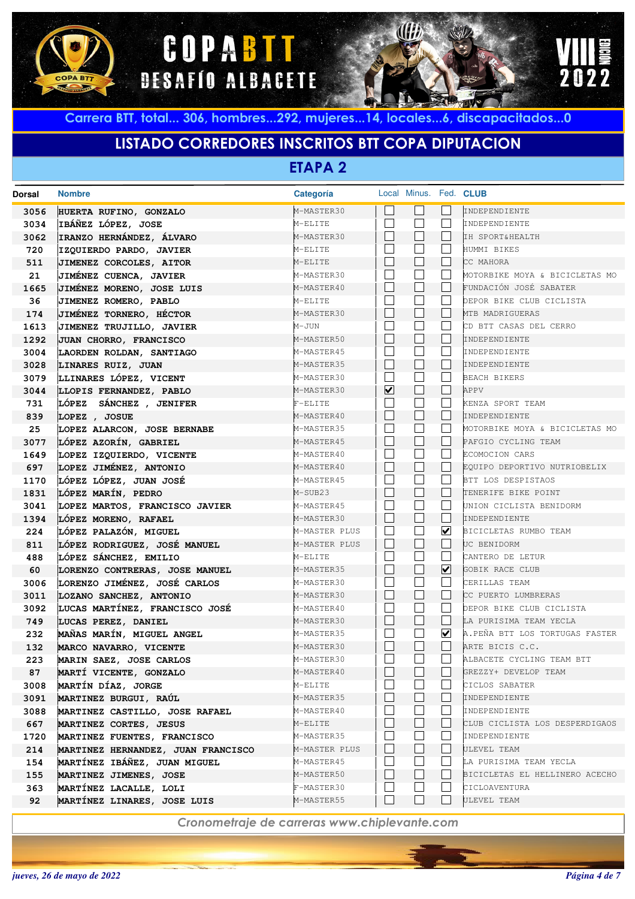





# **LISTADO CORREDORES INSCRITOS BTT COPA DIPUTACION**

**ETAPA 2**

| Dorsal | <b>Nombre</b>                      | Categoría     |                         |              | Local Minus. Fed. CLUB  |                                |
|--------|------------------------------------|---------------|-------------------------|--------------|-------------------------|--------------------------------|
| 3056   | HUERTA RUFINO, GONZALO             | M-MASTER30    |                         |              |                         | INDEPENDIENTE                  |
| 3034   | IBÁÑEZ LÓPEZ, JOSE                 | M-ELITE       |                         | $\mathbf{L}$ |                         | INDEPENDIENTE                  |
| 3062   | IRANZO HERNÁNDEZ, ÁLVARO           | M-MASTER30    | $\mathbf{L}$            | $\mathbf{L}$ |                         | IH SPORT&HEALTH                |
| 720    | IZQUIERDO PARDO, JAVIER            | M-ELITE       |                         |              |                         | HUMMI BIKES                    |
| 511    | JIMENEZ CORCOLES, AITOR            | M-ELITE       |                         | $\Box$       |                         | CC MAHORA                      |
| 21     | JIMÉNEZ CUENCA, JAVIER             | M-MASTER30    |                         |              |                         | MOTORBIKE MOYA & BICICLETAS MO |
| 1665   | JIMÉNEZ MORENO, JOSE LUIS          | M-MASTER40    |                         | $\Box$       |                         | FUNDACIÓN JOSÉ SABATER         |
| 36     | JIMENEZ ROMERO, PABLO              | M-ELITE       |                         |              |                         | DEPOR BIKE CLUB CICLISTA       |
| 174    | JIMÉNEZ TORNERO, HÉCTOR            | M-MASTER30    |                         | $\Box$       |                         | MTB MADRIGUERAS                |
| 1613   | JIMENEZ TRUJILLO, JAVIER           | M-JUN         |                         |              |                         | CD BTT CASAS DEL CERRO         |
| 1292   | JUAN CHORRO, FRANCISCO             | M-MASTER50    | $\Box$                  | $\Box$       |                         | INDEPENDIENTE                  |
| 3004   | LAORDEN ROLDAN, SANTIAGO           | M-MASTER45    |                         |              |                         | INDEPENDIENTE                  |
| 3028   | LINARES RUIZ, JUAN                 | M-MASTER35    |                         | $\Box$       |                         | INDEPENDIENTE                  |
| 3079   | LLINARES LÓPEZ, VICENT             | M-MASTER30    |                         |              |                         | <b>BEACH BIKERS</b>            |
| 3044   | LLOPIS FERNANDEZ, PABLO            | M-MASTER30    | $\overline{\mathbf{v}}$ | $\Box$       |                         | APPV                           |
| 731    | LÓPEZ SÁNCHEZ , JENIFER            | $F-ELITE$     |                         |              |                         | KENZA SPORT TEAM               |
| 839    | LOPEZ , JOSUE                      | M-MASTER40    | $\Box$                  | $\Box$       |                         | INDEPENDIENTE                  |
| 25     | LOPEZ ALARCON, JOSE BERNABE        | M-MASTER35    |                         | L.           |                         | MOTORBIKE MOYA & BICICLETAS MO |
| 3077   | LÓPEZ AZORÍN, GABRIEL              | M-MASTER45    | $\mathbf{L}$            | $\Box$       |                         | PAFGIO CYCLING TEAM            |
| 1649   | LOPEZ IZQUIERDO, VICENTE           | M-MASTER40    |                         |              |                         | ECOMOCION CARS                 |
| 697    | LOPEZ JIMÉNEZ, ANTONIO             | M-MASTER40    | $\mathbf{L}$            | $\Box$       |                         | EOUIPO DEPORTIVO NUTRIOBELIX   |
| 1170   | LÓPEZ LÓPEZ, JUAN JOSÉ             | M-MASTER45    |                         |              |                         | BTT LOS DESPISTAOS             |
| 1831   | LÓPEZ MARÍN, PEDRO                 | M-SUB23       |                         | $\Box$       |                         | TENERIFE BIKE POINT            |
| 3041   | LOPEZ MARTOS, FRANCISCO JAVIER     | M-MASTER45    |                         |              |                         | UNION CICLISTA BENIDORM        |
| 1394   | LÓPEZ MORENO, RAFAEL               | M-MASTER30    |                         | $\Box$       |                         | INDEPENDIENTE                  |
| 224    | LÓPEZ PALAZÓN, MIGUEL              | M-MASTER PLUS |                         | L.           | $\overline{\mathbf{v}}$ | BICICLETAS RUMBO TEAM          |
| 811    | LÓPEZ RODRIGUEZ, JOSÉ MANUEL       | M-MASTER PLUS | $\perp$                 | $\Box$       |                         | UC BENIDORM                    |
| 488    | LÓPEZ SÁNCHEZ, EMILIO              | M-ELITE       |                         |              |                         | CANTERO DE LETUR               |
| 60     | LORENZO CONTRERAS, JOSE MANUEL     | M-MASTER35    | $\Box$                  | Г            | $\boxed{\checkmark}$    | GOBIK RACE CLUB                |
| 3006   | LORENZO JIMÉNEZ, JOSÉ CARLOS       | M-MASTER30    |                         |              |                         | CERILLAS TEAM                  |
| 3011   | LOZANO SANCHEZ, ANTONIO            | M-MASTER30    | $\mathbf{L}$            | $\Box$       |                         | CC PUERTO LUMBRERAS            |
| 3092   | LUCAS MARTÍNEZ, FRANCISCO JOSÉ     | M-MASTER40    |                         |              |                         | DEPOR BIKE CLUB CICLISTA       |
| 749    | LUCAS PEREZ, DANIEL                | M-MASTER30    | $\Box$                  | $\Box$       |                         | LA PURISIMA TEAM YECLA         |
| 232    | MAÑAS MARÍN, MIGUEL ANGEL          | M-MASTER35    | $\vert \ \ \vert$       |              | ☑                       | A.PEÑA BTT LOS TORTUGAS FASTER |
| 132    | MARCO NAVARRO, VICENTE             | M-MASTER30    | $\Box$                  | L            |                         | ARTE BICIS C.C.                |
| 223    | MARIN SAEZ, JOSE CARLOS            | M-MASTER30    |                         |              |                         | ALBACETE CYCLING TEAM BTT      |
| 87     | MARTÍ VICENTE, GONZALO             | M-MASTER40    |                         |              |                         | GREZZY+ DEVELOP TEAM           |
| 3008   | MARTÍN DÍAZ, JORGE                 | M-ELITE       |                         |              |                         | CICLOS SABATER                 |
| 3091   | MARTINEZ BURGUI, RAÚL              | M-MASTER35    |                         |              |                         | INDEPENDIENTE                  |
| 3088   | MARTINEZ CASTILLO, JOSE RAFAEL     | M-MASTER40    |                         |              |                         | INDEPENDIENTE                  |
| 667    | MARTINEZ CORTES, JESUS             | M-ELITE       |                         | $\mathbf{L}$ |                         | CLUB CICLISTA LOS DESPERDIGAOS |
| 1720   | MARTINEZ FUENTES, FRANCISCO        | M-MASTER35    |                         |              |                         | INDEPENDIENTE                  |
| 214    | MARTINEZ HERNANDEZ, JUAN FRANCISCO | M-MASTER PLUS |                         | $\mathbf{L}$ |                         | ULEVEL TEAM                    |
| 154    | MARTÍNEZ IBÁÑEZ, JUAN MIGUEL       | M-MASTER45    |                         |              |                         | LA PURISIMA TEAM YECLA         |
| 155    | MARTINEZ JIMENES, JOSE             | M-MASTER50    | $\perp$                 | $\mathbf{L}$ |                         | BICICLETAS EL HELLINERO ACECHO |
| 363    | MARTÍNEZ LACALLE, LOLI             | F-MASTER30    |                         |              |                         | CICLOAVENTURA                  |
| 92     | MARTÍNEZ LINARES, JOSE LUIS        | M-MASTER55    |                         | ⊔            |                         | ULEVEL TEAM                    |
|        |                                    |               |                         |              |                         |                                |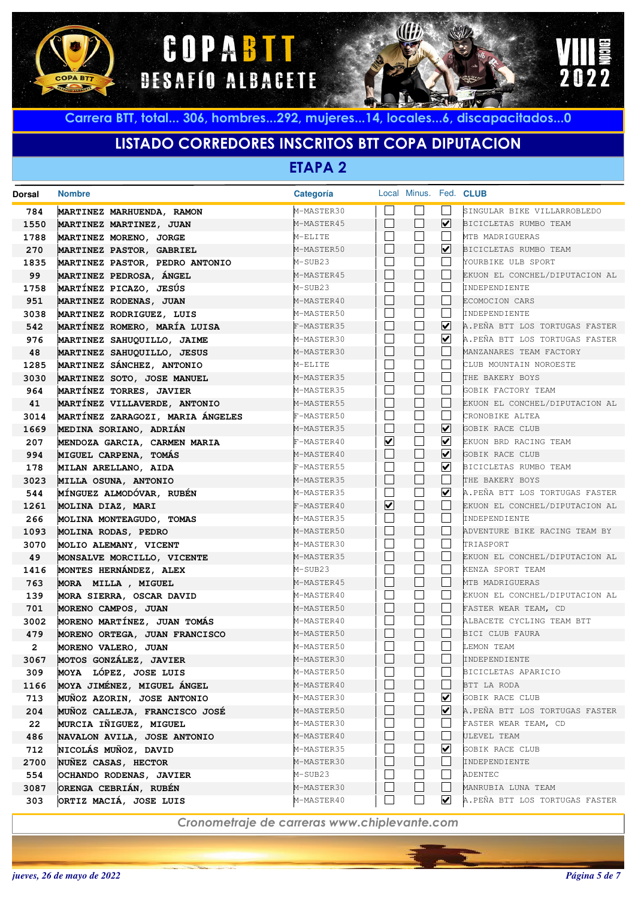





## **LISTADO CORREDORES INSCRITOS BTT COPA DIPUTACION**

**ETAPA 2**

| <b>Dorsal</b> | <b>Nombre</b>                                      | Categoría                |                          | Local Minus. Fed. CLUB |                             |                                                        |
|---------------|----------------------------------------------------|--------------------------|--------------------------|------------------------|-----------------------------|--------------------------------------------------------|
| 784           | MARTINEZ MARHUENDA, RAMON                          | M-MASTER30               |                          |                        |                             | SINGULAR BIKE VILLARROBLEDO                            |
| 1550          | MARTINEZ MARTINEZ, JUAN                            | M-MASTER45               |                          | $\blacksquare$         | ☑                           | BICICLETAS RUMBO TEAM                                  |
| 1788          | MARTINEZ MORENO, JORGE                             | M-ELITE                  | $\overline{\phantom{a}}$ |                        |                             | MTB MADRIGUERAS                                        |
| 270           | MARTINEZ PASTOR, GABRIEL                           | M-MASTER50               |                          |                        | $\overline{\mathbf{v}}$     | BICICLETAS RUMBO TEAM                                  |
| 1835          | MARTINEZ PASTOR, PEDRO ANTONIO                     | M-SUB23                  |                          |                        |                             | YOURBIKE ULB SPORT                                     |
| 99            | MARTINEZ PEDROSA, ÁNGEL                            | M-MASTER45               |                          |                        |                             | EKUON EL CONCHEL/DIPUTACION AL                         |
| 1758          | MARTÍNEZ PICAZO, JESÚS                             | M-SUB23                  |                          |                        |                             | INDEPENDIENTE                                          |
| 951           | MARTINEZ RODENAS, JUAN                             | M-MASTER40               |                          | $\blacksquare$         |                             | ECOMOCION CARS                                         |
| 3038          | MARTINEZ RODRIGUEZ, LUIS                           | M-MASTER50               |                          |                        |                             | INDEPENDIENTE                                          |
| 542           | MARTÍNEZ ROMERO, MARÍA LUISA                       | F-MASTER35               |                          | $\blacksquare$         | ☑                           | A.PEÑA BTT LOS TORTUGAS FASTER                         |
| 976           | MARTINEZ SAHUQUILLO, JAIME                         | M-MASTER30               |                          |                        | V                           | A.PEÑA BTT LOS TORTUGAS FASTER                         |
| 48            | MARTINEZ SAHUQUILLO, JESUS                         | M-MASTER30               |                          | $\blacksquare$         |                             | MANZANARES TEAM FACTORY                                |
| 1285          | MARTINEZ SÁNCHEZ, ANTONIO                          | M-ELITE                  |                          |                        |                             | CLUB MOUNTAIN NOROESTE                                 |
| 3030          | MARTINEZ SOTO, JOSE MANUEL                         | M-MASTER35               |                          | $\blacksquare$         |                             | THE BAKERY BOYS                                        |
| 964           | MARTÍNEZ TORRES, JAVIER                            | M-MASTER35               | $\vert \ \ \vert$        |                        |                             | GOBIK FACTORY TEAM                                     |
| 41            | MARTÍNEZ VILLAVERDE, ANTONIO                       | M-MASTER55               |                          | $\blacksquare$         |                             | EKUON EL CONCHEL/DIPUTACION AL                         |
| 3014          | MARTÍNEZ ZARAGOZI, MARIA ÁNGELES                   | F-MASTER50               | $\vert \ \ \vert$        |                        |                             | CRONOBIKE ALTEA                                        |
| 1669          | MEDINA SORIANO, ADRIÁN                             | M-MASTER35               |                          | $\blacksquare$         | ⊻                           | GOBIK RACE CLUB                                        |
| 207           | MENDOZA GARCIA, CARMEN MARIA                       | F-MASTER40               | $\blacktriangledown$     |                        | ⊻                           | EKUON BRD RACING TEAM                                  |
| 994           | MIGUEL CARPENA, TOMÁS                              | M-MASTER40               |                          | $\blacksquare$         | $\blacktriangledown$        | GOBIK RACE CLUB                                        |
| 178           | MILAN ARELLANO, AIDA                               | F-MASTER55               | $\overline{\phantom{a}}$ |                        | V                           | BICICLETAS RUMBO TEAM                                  |
| 3023          | MILLA OSUNA, ANTONIO                               | M-MASTER35               |                          | $\blacksquare$         |                             | THE BAKERY BOYS                                        |
| 544           | MÍNGUEZ ALMODÓVAR, RUBÉN                           | M-MASTER35               | $\blacksquare$           |                        | $\blacktriangledown$        | A.PEÑA BTT LOS TORTUGAS FASTER                         |
| 1261          | MOLINA DIAZ, MARI                                  | F-MASTER40               | $\overline{\mathbf{v}}$  | $\blacksquare$         |                             | EKUON EL CONCHEL/DIPUTACION AL                         |
| 266           | MOLINA MONTEAGUDO, TOMAS                           | M-MASTER35               | $\overline{\phantom{a}}$ |                        |                             | INDEPENDIENTE                                          |
| 1093          | MOLINA RODAS, PEDRO                                | M-MASTER50               |                          | $\blacksquare$         |                             | ADVENTURE BIKE RACING TEAM BY                          |
| 3070          | MOLIO ALEMANY, VICENT                              | M-MASTER30               | $\vert \ \ \vert$        |                        |                             | TRIASPORT                                              |
| 49            | MONSALVE MORCILLO, VICENTE                         | M-MASTER35               |                          | $\blacksquare$         |                             | EKUON EL CONCHEL/DIPUTACION AL                         |
| 1416          | MONTES HERNÁNDEZ, ALEX                             | M-SUB23                  |                          | $\blacksquare$         |                             | KENZA SPORT TEAM                                       |
| 763           | MORA MILLA, MIGUEL                                 | M-MASTER45               | $\vert \ \ \vert$        |                        |                             | MTB MADRIGUERAS                                        |
| 139           | MORA SIERRA, OSCAR DAVID                           | M-MASTER40<br>M-MASTER50 |                          | $\vert \ \ \vert$      |                             | EKUON EL CONCHEL/DIPUTACION AL<br>FASTER WEAR TEAM, CD |
| 701<br>3002   | MORENO CAMPOS, JUAN<br>MORENO MARTÍNEZ, JUAN TOMÁS | M-MASTER40               | $\vert \ \ \vert$        |                        |                             | ALBACETE CYCLING TEAM BTT                              |
| 479           | MORENO ORTEGA, JUAN FRANCISCO                      | M-MASTER50               |                          | $\blacksquare$         |                             | <b>BICI CLUB FAURA</b>                                 |
| $\mathbf{2}$  | MORENO VALERO, JUAN                                | M-MASTER50               |                          |                        |                             | LEMON TEAM                                             |
| 3067          | MOTOS GONZÁLEZ, JAVIER                             | M-MASTER30               |                          |                        |                             | INDEPENDIENTE                                          |
| 309           | MOYA LÓPEZ, JOSE LUIS                              | M-MASTER50               |                          |                        |                             | BICICLETAS APARICIO                                    |
| 1166          | MOYA JIMÉNEZ, MIGUEL ÁNGEL                         | M-MASTER40               |                          |                        |                             | BTT LA RODA                                            |
| 713           | MUÑOZ AZORIN, JOSE ANTONIO                         | M-MASTER30               |                          |                        | ⊻                           | GOBIK RACE CLUB                                        |
| 204           | MUÑOZ CALLEJA, FRANCISCO JOSÉ                      | M-MASTER50               |                          |                        | $\vert\mathbf{v}\vert$      | A.PEÑA BTT LOS TORTUGAS FASTER                         |
| 22            | MURCIA IÑIGUEZ, MIGUEL                             | M-MASTER30               |                          |                        |                             | FASTER WEAR TEAM, CD                                   |
| 486           | NAVALON AVILA, JOSE ANTONIO                        | M-MASTER40               |                          |                        |                             | ULEVEL TEAM                                            |
| 712           | NICOLÁS MUÑOZ, DAVID                               | M-MASTER35               |                          |                        | ⊻                           | GOBIK RACE CLUB                                        |
| 2700          | NUÑEZ CASAS, HECTOR                                | M-MASTER30               |                          |                        |                             | INDEPENDIENTE                                          |
| 554           | OCHANDO RODENAS, JAVIER                            | M-SUB23                  |                          |                        |                             | ADENTEC                                                |
| 3087          | ORENGA CEBRIÁN, RUBÉN                              | M-MASTER30               |                          |                        |                             | MANRUBIA LUNA TEAM                                     |
| 303           | ORTIZ MACIÁ, JOSE LUIS                             | M-MASTER40               |                          |                        | $\vert\bm{\mathsf{v}}\vert$ | A.PEÑA BTT LOS TORTUGAS FASTER                         |
|               |                                                    |                          |                          |                        |                             |                                                        |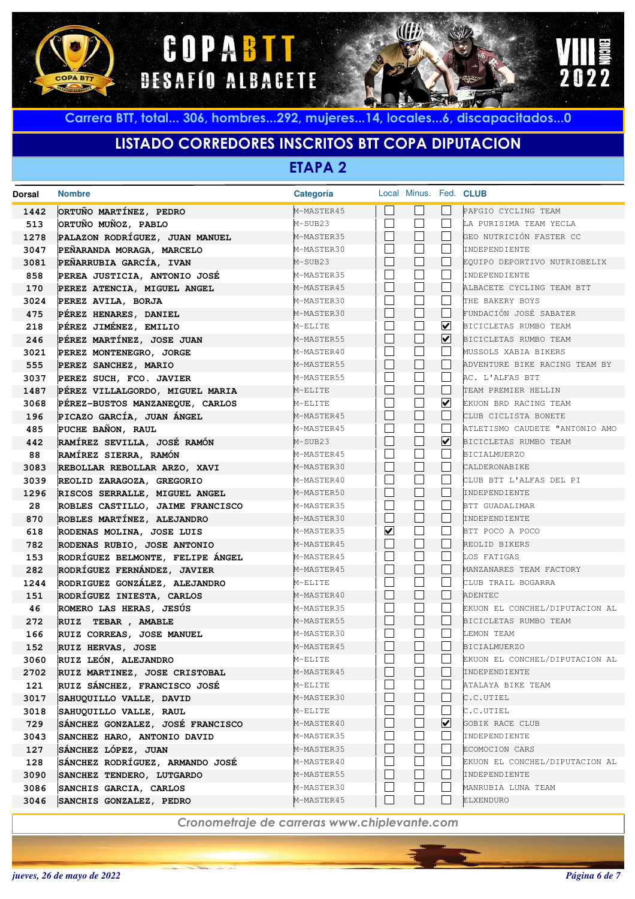





## **LISTADO CORREDORES INSCRITOS BTT COPA DIPUTACION**

**ETAPA 2**

| <b>Dorsal</b> | <b>Nombre</b>                                      | Categoría                |                         | Local Minus. Fed. CLUB |                      |                                  |
|---------------|----------------------------------------------------|--------------------------|-------------------------|------------------------|----------------------|----------------------------------|
| 1442          | ORTUÑO MARTÍNEZ, PEDRO                             | M-MASTER45               |                         |                        |                      | PAFGIO CYCLING TEAM              |
| 513           | ORTUÑO MUÑOZ, PABLO                                | M-SUB23                  |                         |                        |                      | LA PURISIMA TEAM YECLA           |
| 1278          | PALAZON RODRÍGUEZ, JUAN MANUEL                     | M-MASTER35               |                         |                        |                      | GEO NUTRICIÓN FASTER CC          |
| 3047          | PEÑARANDA MORAGA, MARCELO                          | M-MASTER30               |                         |                        |                      | INDEPENDIENTE                    |
| 3081          | PEÑARRUBIA GARCÍA, IVAN                            | M-SUB23                  |                         |                        |                      | EQUIPO DEPORTIVO NUTRIOBELIX     |
| 858           | PEREA JUSTICIA, ANTONIO JOSÉ                       | M-MASTER35               |                         |                        |                      | INDEPENDIENTE                    |
| 170           | PEREZ ATENCIA, MIGUEL ANGEL                        | M-MASTER45               |                         | k.                     |                      | ALBACETE CYCLING TEAM BTT        |
| 3024          | PEREZ AVILA, BORJA                                 | M-MASTER30               |                         |                        |                      | THE BAKERY BOYS                  |
| 475           | PÉREZ HENARES, DANIEL                              | M-MASTER30               |                         | $\mathbf{L}$           |                      | FUNDACIÓN JOSÉ SABATER           |
| 218           | PÉREZ JIMÉNEZ, EMILIO                              | M-ELITE                  |                         |                        | ☑                    | BICICLETAS RUMBO TEAM            |
| 246           | PÉREZ MARTÍNEZ, JOSE JUAN                          | M-MASTER55               |                         | L.                     | $\blacktriangledown$ | BICICLETAS RUMBO TEAM            |
| 3021          | PEREZ MONTENEGRO, JORGE                            | M-MASTER40               |                         |                        |                      | MUSSOLS XABIA BIKERS             |
| 555           | PEREZ SANCHEZ, MARIO                               | M-MASTER55               |                         | L.                     |                      | ADVENTURE BIKE RACING TEAM BY    |
| 3037          | PEREZ SUCH, FCO. JAVIER                            | M-MASTER55               |                         |                        |                      | AC. L'ALFAS BTT                  |
| 1487          | PÉREZ VILLALGORDO, MIGUEL MARIA                    | M-ELITE                  |                         | L                      |                      | TEAM PREMIER HELLIN              |
| 3068          | PÉREZ-BUSTOS MANZANEQUE, CARLOS                    | M-ELITE                  |                         |                        | ☑                    | EKUON BRD RACING TEAM            |
| 196           | PICAZO GARCÍA, JUAN ÁNGEL                          | M-MASTER45               |                         | L                      |                      | CLUB CICLISTA BONETE             |
| 485           | PUCHE BAÑON, RAUL                                  | M-MASTER45               |                         |                        |                      | ATLETISMO CAUDETE "ANTONIO AMO   |
| 442           | RAMÍREZ SEVILLA, JOSÉ RAMÓN                        | M-SUB23                  |                         | L.                     | ☑                    | BICICLETAS RUMBO TEAM            |
| 88            | RAMÍREZ SIERRA, RAMÓN                              | M-MASTER45               |                         |                        |                      | <b>BICIALMUERZO</b>              |
| 3083          | REBOLLAR REBOLLAR ARZO, XAVI                       | M-MASTER30               |                         | L.                     |                      | CALDERONABIKE                    |
| 3039          | REOLID ZARAGOZA, GREGORIO                          | M-MASTER40               |                         |                        |                      | CLUB BTT L'ALFAS DEL PI          |
| 1296          | RISCOS SERRALLE, MIGUEL ANGEL                      | M-MASTER50               |                         | $\mathbf{L}$           |                      | INDEPENDIENTE                    |
| 28            | ROBLES CASTILLO, JAIME FRANCISCO                   | M-MASTER35               |                         |                        |                      | BTT GUADALIMAR                   |
| 870           | ROBLES MARTÍNEZ, ALEJANDRO                         | M-MASTER30               |                         | $\mathbf{L}$           |                      | INDEPENDIENTE                    |
| 618           | RODENAS MOLINA, JOSE LUIS                          | M-MASTER35               | $\overline{\mathbf{v}}$ |                        |                      | BTT POCO A POCO                  |
| 782           | RODENAS RUBIO, JOSE ANTONIO                        | M-MASTER45               |                         | $\mathbf{L}$           |                      | REOLID BIKERS                    |
| 153           | RODRÍGUEZ BELMONTE, FELIPE ÁNGEL                   | M-MASTER45               |                         |                        |                      | LOS FATIGAS                      |
| 282           | RODRÍGUEZ FERNÁNDEZ, JAVIER                        | M-MASTER45               |                         | $\mathbf{L}$           |                      | MANZANARES TEAM FACTORY          |
| 1244          | RODRIGUEZ GONZÁLEZ, ALEJANDRO                      | M-ELITE                  |                         |                        |                      | CLUB TRAIL BOGARRA               |
| 151           | RODRÍGUEZ INIESTA, CARLOS                          | M-MASTER40               |                         | L                      |                      | ADENTEC                          |
| 46            | ROMERO LAS HERAS, JESÚS                            | M-MASTER35               |                         |                        |                      | EKUON EL CONCHEL/DIPUTACION AL   |
| 272           | RUIZ TEBAR , AMABLE                                | M-MASTER55               |                         | $\mathbf{L}$           |                      | BICICLETAS RUMBO TEAM            |
| 166           | RUIZ CORREAS, JOSE MANUEL                          | M-MASTER30               |                         |                        |                      | LEMON TEAM                       |
| 152           | RUIZ HERVAS, JOSE                                  | M-MASTER45               |                         |                        |                      | <b>BICIALMUERZO</b>              |
| 3060          | RUIZ LEÓN, ALEJANDRO                               | M-ELITE                  |                         |                        |                      | EKUON EL CONCHEL/DIPUTACION AL   |
| 2702          | RUIZ MARTINEZ, JOSE CRISTOBAL                      | M-MASTER45               |                         |                        |                      | INDEPENDIENTE                    |
| 121           | RUIZ SÁNCHEZ, FRANCISCO JOSÉ                       | M-ELITE                  |                         |                        |                      | ATALAYA BIKE TEAM                |
| 3017          | SAHUQUILLO VALLE, DAVID                            | M-MASTER30               |                         |                        |                      | C.C.UTIEL                        |
| 3018          | SAHUQUILLO VALLE, RAUL                             | M-ELITE                  |                         |                        | ⊻                    | C.C.UTIEL                        |
| 729           | SÁNCHEZ GONZALEZ, JOSÉ FRANCISCO                   | M-MASTER40               |                         |                        |                      | GOBIK RACE CLUB<br>INDEPENDIENTE |
| 3043          | SANCHEZ HARO, ANTONIO DAVID<br>SÁNCHEZ LÓPEZ, JUAN | M-MASTER35<br>M-MASTER35 |                         |                        |                      | ECOMOCION CARS                   |
| 127<br>128    | SÁNCHEZ RODRÍGUEZ, ARMANDO JOSÉ                    | M-MASTER40               |                         |                        |                      | EKUON EL CONCHEL/DIPUTACION AL   |
|               | SANCHEZ TENDERO, LUTGARDO                          | M-MASTER55               |                         |                        |                      | INDEPENDIENTE                    |
| 3090<br>3086  | SANCHIS GARCIA, CARLOS                             | M-MASTER30               |                         |                        |                      | MANRUBIA LUNA TEAM               |
|               |                                                    | M-MASTER45               |                         | $\blacksquare$         |                      | ELXENDURO                        |
| 3046          | SANCHIS GONZALEZ, PEDRO                            |                          |                         |                        |                      |                                  |